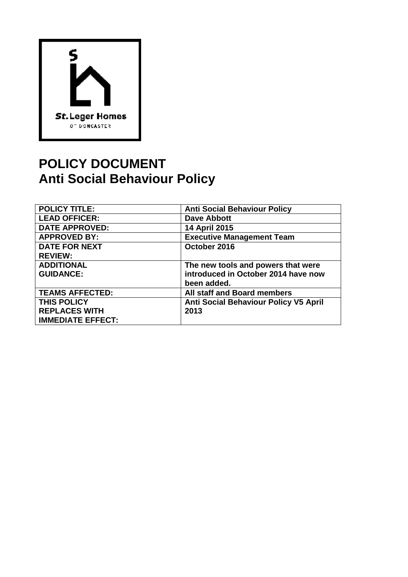

# **POLICY DOCUMENT Anti Social Behaviour Policy**

| <b>POLICY TITLE:</b>     | <b>Anti Social Behaviour Policy</b>          |
|--------------------------|----------------------------------------------|
| <b>LEAD OFFICER:</b>     | <b>Dave Abbott</b>                           |
| <b>DATE APPROVED:</b>    | <b>14 April 2015</b>                         |
| <b>APPROVED BY:</b>      | <b>Executive Management Team</b>             |
| <b>DATE FOR NEXT</b>     | October 2016                                 |
| <b>REVIEW:</b>           |                                              |
| <b>ADDITIONAL</b>        | The new tools and powers that were           |
| <b>GUIDANCE:</b>         | introduced in October 2014 have now          |
|                          | been added.                                  |
| <b>TEAMS AFFECTED:</b>   | All staff and Board members                  |
| <b>THIS POLICY</b>       | <b>Anti Social Behaviour Policy V5 April</b> |
| <b>REPLACES WITH</b>     | 2013                                         |
| <b>IMMEDIATE EFFECT:</b> |                                              |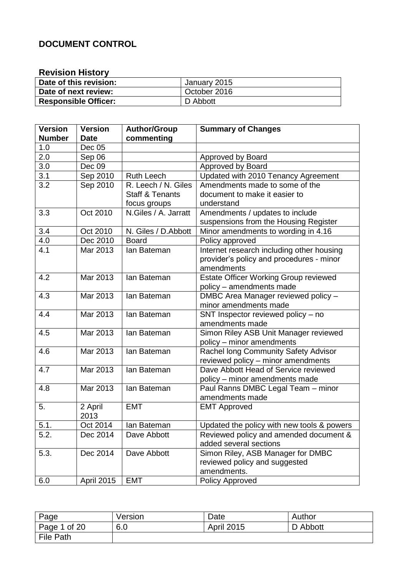# **DOCUMENT CONTROL**

# **Revision History**

| Date of this revision:      | January 2015 |
|-----------------------------|--------------|
| Date of next review:        | October 2016 |
| <b>Responsible Officer:</b> | D Abbott     |

| Version       | <b>Version</b>    | <b>Author/Group</b>        | <b>Summary of Changes</b>                    |
|---------------|-------------------|----------------------------|----------------------------------------------|
| <b>Number</b> | <b>Date</b>       | commenting                 |                                              |
| 1.0           | Dec 05            |                            |                                              |
| 2.0           | Sep 06            |                            | Approved by Board                            |
| 3.0           | Dec 09            |                            | Approved by Board                            |
| 3.1           | Sep 2010          | <b>Ruth Leech</b>          | Updated with 2010 Tenancy Agreement          |
| 3.2           | Sep 2010          | R. Leech / N. Giles        | Amendments made to some of the               |
|               |                   | <b>Staff &amp; Tenants</b> | document to make it easier to                |
|               |                   | focus groups               | understand                                   |
| 3.3           | Oct 2010          | N.Giles / A. Jarratt       | Amendments / updates to include              |
|               |                   |                            | suspensions from the Housing Register        |
| 3.4           | Oct 2010          | N. Giles / D. Abbott       | Minor amendments to wording in 4.16          |
| 4.0           | Dec 2010          | <b>Board</b>               | Policy approved                              |
| 4.1           | Mar 2013          | lan Bateman                | Internet research including other housing    |
|               |                   |                            | provider's policy and procedures - minor     |
|               |                   |                            | amendments                                   |
| 4.2           | Mar 2013          | lan Bateman                | <b>Estate Officer Working Group reviewed</b> |
|               |                   |                            | policy - amendments made                     |
| 4.3           | Mar 2013          | lan Bateman                | DMBC Area Manager reviewed policy -          |
|               |                   |                            | minor amendments made                        |
| 4.4           | Mar 2013          | Ian Bateman                | SNT Inspector reviewed policy - no           |
|               |                   |                            | amendments made                              |
| 4.5           | Mar 2013          | lan Bateman                | Simon Riley ASB Unit Manager reviewed        |
|               |                   |                            | policy – minor amendments                    |
| 4.6           | Mar 2013          | lan Bateman                | Rachel long Community Safety Advisor         |
|               |                   |                            | reviewed policy - minor amendments           |
| 4.7           | Mar 2013          | lan Bateman                | Dave Abbott Head of Service reviewed         |
|               |                   |                            | policy – minor amendments made               |
| 4.8           | Mar 2013          | lan Bateman                | Paul Ranns DMBC Legal Team - minor           |
|               |                   |                            | amendments made                              |
| 5.            | 2 April           | <b>EMT</b>                 | <b>EMT Approved</b>                          |
|               | 2013              |                            |                                              |
| 5.1.          | Oct 2014          | lan Bateman                | Updated the policy with new tools & powers   |
| 5.2.          | Dec 2014          | Dave Abbott                | Reviewed policy and amended document &       |
|               |                   |                            | added several sections                       |
| 5.3.          | Dec 2014          | Dave Abbott                | Simon Riley, ASB Manager for DMBC            |
|               |                   |                            | reviewed policy and suggested                |
|               |                   |                            | amendments.                                  |
| 6.0           | <b>April 2015</b> | <b>EMT</b>                 | <b>Policy Approved</b>                       |

| Page         | Version | Date              | Author   |
|--------------|---------|-------------------|----------|
| Page 1 of 20 | 6.0     | <b>April 2015</b> | D Abbott |
| File Path    |         |                   |          |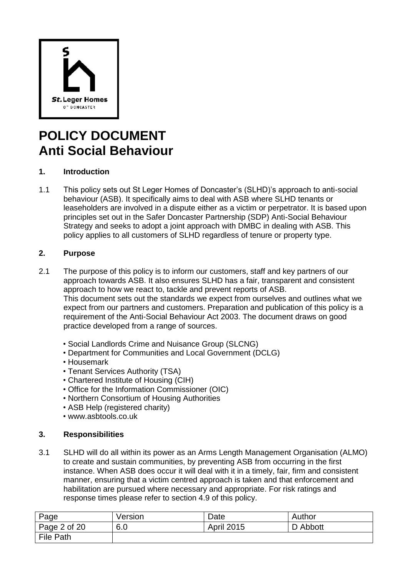

# **POLICY DOCUMENT Anti Social Behaviour**

# **1. Introduction**

1.1 This policy sets out St Leger Homes of Doncaster"s (SLHD)"s approach to anti-social behaviour (ASB). It specifically aims to deal with ASB where SLHD tenants or leaseholders are involved in a dispute either as a victim or perpetrator. It is based upon principles set out in the Safer Doncaster Partnership (SDP) Anti-Social Behaviour Strategy and seeks to adopt a joint approach with DMBC in dealing with ASB. This policy applies to all customers of SLHD regardless of tenure or property type.

# **2. Purpose**

- 2.1 The purpose of this policy is to inform our customers, staff and key partners of our approach towards ASB. It also ensures SLHD has a fair, transparent and consistent approach to how we react to, tackle and prevent reports of ASB. This document sets out the standards we expect from ourselves and outlines what we expect from our partners and customers. Preparation and publication of this policy is a requirement of the Anti-Social Behaviour Act 2003. The document draws on good practice developed from a range of sources.
	- Social Landlords Crime and Nuisance Group (SLCNG)
	- Department for Communities and Local Government (DCLG)
	- Housemark
	- Tenant Services Authority (TSA)
	- Chartered Institute of Housing (CIH)
	- Office for the Information Commissioner (OIC)
	- Northern Consortium of Housing Authorities
	- ASB Help (registered charity)
	- www.asbtools.co.uk

# **3. Responsibilities**

3.1 SLHD will do all within its power as an Arms Length Management Organisation (ALMO) to create and sustain communities, by preventing ASB from occurring in the first instance. When ASB does occur it will deal with it in a timely, fair, firm and consistent manner, ensuring that a victim centred approach is taken and that enforcement and habilitation are pursued where necessary and appropriate. For risk ratings and response times please refer to section 4.9 of this policy.

| Page         | Version | Date              | Author   |
|--------------|---------|-------------------|----------|
| Page 2 of 20 | 6.0     | <b>April 2015</b> | D Abbott |
| File Path    |         |                   |          |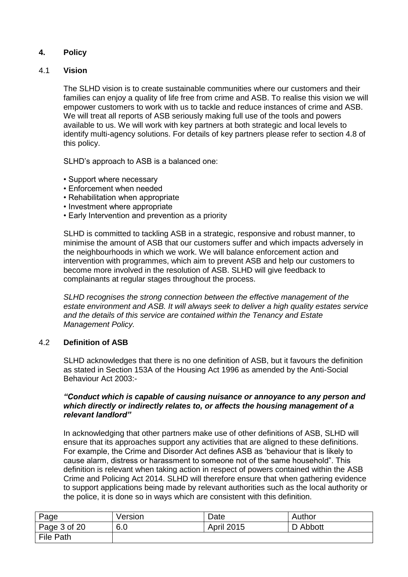# **4. Policy**

# 4.1 **Vision**

The SLHD vision is to create sustainable communities where our customers and their families can enjoy a quality of life free from crime and ASB. To realise this vision we will empower customers to work with us to tackle and reduce instances of crime and ASB. We will treat all reports of ASB seriously making full use of the tools and powers available to us. We will work with key partners at both strategic and local levels to identify multi-agency solutions. For details of key partners please refer to section 4.8 of this policy.

SLHD"s approach to ASB is a balanced one:

- Support where necessary
- Enforcement when needed
- Rehabilitation when appropriate
- Investment where appropriate
- Early Intervention and prevention as a priority

SLHD is committed to tackling ASB in a strategic, responsive and robust manner, to minimise the amount of ASB that our customers suffer and which impacts adversely in the neighbourhoods in which we work. We will balance enforcement action and intervention with programmes, which aim to prevent ASB and help our customers to become more involved in the resolution of ASB. SLHD will give feedback to complainants at regular stages throughout the process.

*SLHD recognises the strong connection between the effective management of the estate environment and ASB. It will always seek to deliver a high quality estates service and the details of this service are contained within the Tenancy and Estate Management Policy.*

#### 4.2 **Definition of ASB**

SLHD acknowledges that there is no one definition of ASB, but it favours the definition as stated in Section 153A of the Housing Act 1996 as amended by the Anti-Social Behaviour Act 2003:-

### *"Conduct which is capable of causing nuisance or annoyance to any person and which directly or indirectly relates to, or affects the housing management of a relevant landlord"*

In acknowledging that other partners make use of other definitions of ASB, SLHD will ensure that its approaches support any activities that are aligned to these definitions. For example, the Crime and Disorder Act defines ASB as "behaviour that is likely to cause alarm, distress or harassment to someone not of the same household". This definition is relevant when taking action in respect of powers contained within the ASB Crime and Policing Act 2014. SLHD will therefore ensure that when gathering evidence to support applications being made by relevant authorities such as the local authority or the police, it is done so in ways which are consistent with this definition.

| Page         | Version | Date              | Author   |
|--------------|---------|-------------------|----------|
| Page 3 of 20 | 6.0     | <b>April 2015</b> | D Abbott |
| File Path    |         |                   |          |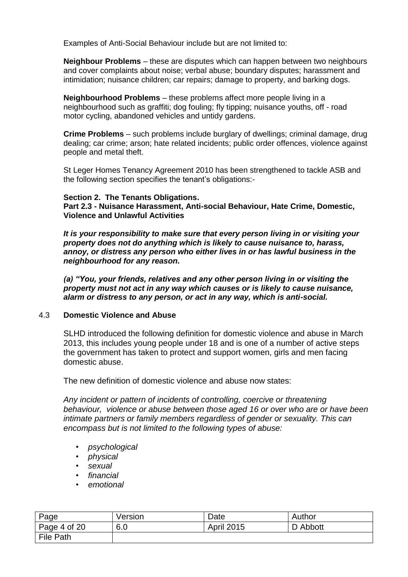Examples of Anti-Social Behaviour include but are not limited to:

**Neighbour Problems** – these are disputes which can happen between two neighbours and cover complaints about noise; verbal abuse; boundary disputes; harassment and intimidation; nuisance children; car repairs; damage to property, and barking dogs.

**Neighbourhood Problems** – these problems affect more people living in a neighbourhood such as graffiti; dog fouling; fly tipping; nuisance youths, off - road motor cycling, abandoned vehicles and untidy gardens.

**Crime Problems** – such problems include burglary of dwellings; criminal damage, drug dealing; car crime; arson; hate related incidents; public order offences, violence against people and metal theft.

St Leger Homes Tenancy Agreement 2010 has been strengthened to tackle ASB and the following section specifies the tenant"s obligations:-

#### **Section 2. The Tenants Obligations.**

**Part 2.3 - Nuisance Harassment, Anti-social Behaviour, Hate Crime, Domestic, Violence and Unlawful Activities**

*It is your responsibility to make sure that every person living in or visiting your property does not do anything which is likely to cause nuisance to, harass, annoy, or distress any person who either lives in or has lawful business in the neighbourhood for any reason.*

*(a) "You, your friends, relatives and any other person living in or visiting the property must not act in any way which causes or is likely to cause nuisance, alarm or distress to any person, or act in any way, which is anti-social.*

### 4.3 **Domestic Violence and Abuse**

SLHD introduced the following definition for domestic violence and abuse in March 2013, this includes young people under 18 and is one of a number of active steps the government has taken to protect and support women, girls and men facing domestic abuse.

The new definition of domestic violence and abuse now states:

*Any incident or pattern of incidents of controlling, coercive or threatening behaviour, violence or abuse between those aged 16 or over who are or have been intimate partners or family members regardless of gender or sexuality. This can encompass but is not limited to the following types of abuse:*

- *psychological*
- *physical*
- *sexual*
- *financial*
- *emotional*

| Page             | Version | Date              | Author   |
|------------------|---------|-------------------|----------|
| Page 4 of 20     | 6.0     | <b>April 2015</b> | D Abbott |
| <b>File Path</b> |         |                   |          |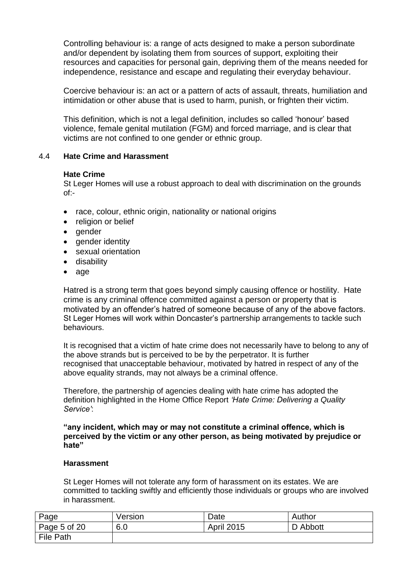Controlling behaviour is: a range of acts designed to make a person subordinate and/or dependent by isolating them from sources of support, exploiting their resources and capacities for personal gain, depriving them of the means needed for independence, resistance and escape and regulating their everyday behaviour.

Coercive behaviour is: an act or a pattern of acts of assault, threats, humiliation and intimidation or other abuse that is used to harm, punish, or frighten their victim.

This definition, which is not a legal definition, includes so called "honour" based violence, female genital mutilation (FGM) and forced marriage, and is clear that victims are not confined to one gender or ethnic group.

# 4.4 **Hate Crime and Harassment**

#### **Hate Crime**

St Leger Homes will use a robust approach to deal with discrimination on the grounds of:-

- race, colour, ethnic origin, nationality or national origins
- religion or belief
- gender
- gender identity
- sexual orientation
- disability
- age

Hatred is a strong term that goes beyond simply causing offence or hostility. Hate crime is any criminal offence committed against a person or property that is motivated by an offender"s hatred of someone because of any of the above factors. St Leger Homes will work within Doncaster's partnership arrangements to tackle such behaviours.

It is recognised that a victim of hate crime does not necessarily have to belong to any of the above strands but is perceived to be by the perpetrator. It is further recognised that unacceptable behaviour, motivated by hatred in respect of any of the above equality strands, may not always be a criminal offence.

Therefore, the partnership of agencies dealing with hate crime has adopted the definition highlighted in the Home Office Report *'Hate Crime: Delivering a Quality Service'*:

#### **"any incident, which may or may not constitute a criminal offence, which is perceived by the victim or any other person, as being motivated by prejudice or hate"**

#### **Harassment**

St Leger Homes will not tolerate any form of harassment on its estates. We are committed to tackling swiftly and efficiently those individuals or groups who are involved in harassment.

| Page             | Version | Date              | Author   |
|------------------|---------|-------------------|----------|
| Page 5 of 20     | 6.0     | <b>April 2015</b> | D Abbott |
| <b>File Path</b> |         |                   |          |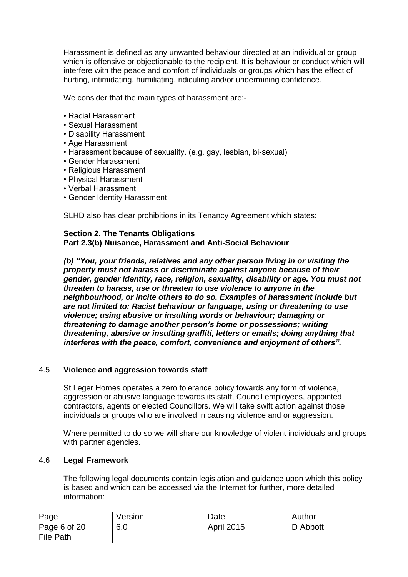Harassment is defined as any unwanted behaviour directed at an individual or group which is offensive or objectionable to the recipient. It is behaviour or conduct which will interfere with the peace and comfort of individuals or groups which has the effect of hurting, intimidating, humiliating, ridiculing and/or undermining confidence.

We consider that the main types of harassment are:-

- Racial Harassment
- Sexual Harassment
- Disability Harassment
- Age Harassment
- Harassment because of sexuality. (e.g. gay, lesbian, bi-sexual)
- Gender Harassment
- Religious Harassment
- Physical Harassment
- Verbal Harassment
- Gender Identity Harassment

SLHD also has clear prohibitions in its Tenancy Agreement which states:

# **Section 2. The Tenants Obligations**

**Part 2.3(b) Nuisance, Harassment and Anti-Social Behaviour**

*(b) "You, your friends, relatives and any other person living in or visiting the property must not harass or discriminate against anyone because of their gender, gender identity, race, religion, sexuality, disability or age. You must not threaten to harass, use or threaten to use violence to anyone in the neighbourhood, or incite others to do so. Examples of harassment include but are not limited to: Racist behaviour or language, using or threatening to use violence; using abusive or insulting words or behaviour; damaging or threatening to damage another person's home or possessions; writing threatening, abusive or insulting graffiti, letters or emails; doing anything that interferes with the peace, comfort, convenience and enjoyment of others".*

# 4.5 **Violence and aggression towards staff**

St Leger Homes operates a zero tolerance policy towards any form of violence, aggression or abusive language towards its staff, Council employees, appointed contractors, agents or elected Councillors. We will take swift action against those individuals or groups who are involved in causing violence and or aggression.

Where permitted to do so we will share our knowledge of violent individuals and groups with partner agencies.

#### 4.6 **Legal Framework**

The following legal documents contain legislation and guidance upon which this policy is based and which can be accessed via the Internet for further, more detailed information:

| Page             | Version | Date              | Author   |
|------------------|---------|-------------------|----------|
| Page 6 of 20     | 6.0     | <b>April 2015</b> | D Abbott |
| <b>File Path</b> |         |                   |          |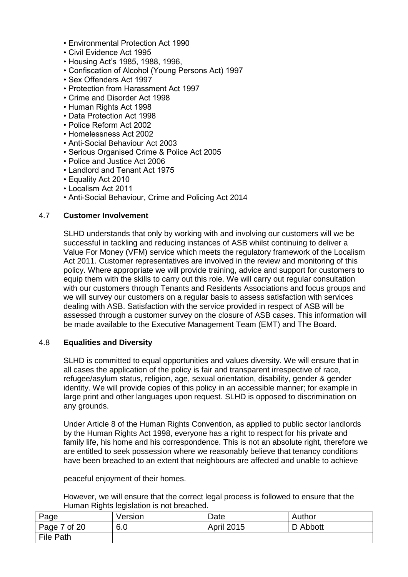- Environmental Protection Act 1990
- Civil Evidence Act 1995
- Housing Act"s 1985, 1988, 1996,
- Confiscation of Alcohol (Young Persons Act) 1997
- Sex Offenders Act 1997
- Protection from Harassment Act 1997
- Crime and Disorder Act 1998
- Human Rights Act 1998
- Data Protection Act 1998
- Police Reform Act 2002
- Homelessness Act 2002
- Anti-Social Behaviour Act 2003
- Serious Organised Crime & Police Act 2005
- Police and Justice Act 2006
- Landlord and Tenant Act 1975
- Equality Act 2010
- Localism Act 2011
- Anti-Social Behaviour, Crime and Policing Act 2014

#### 4.7 **Customer Involvement**

SLHD understands that only by working with and involving our customers will we be successful in tackling and reducing instances of ASB whilst continuing to deliver a Value For Money (VFM) service which meets the regulatory framework of the Localism Act 2011. Customer representatives are involved in the review and monitoring of this policy. Where appropriate we will provide training, advice and support for customers to equip them with the skills to carry out this role. We will carry out regular consultation with our customers through Tenants and Residents Associations and focus groups and we will survey our customers on a regular basis to assess satisfaction with services dealing with ASB. Satisfaction with the service provided in respect of ASB will be assessed through a customer survey on the closure of ASB cases. This information will be made available to the Executive Management Team (EMT) and The Board.

#### 4.8 **Equalities and Diversity**

SLHD is committed to equal opportunities and values diversity. We will ensure that in all cases the application of the policy is fair and transparent irrespective of race, refugee/asylum status, religion, age, sexual orientation, disability, gender & gender identity. We will provide copies of this policy in an accessible manner; for example in large print and other languages upon request. SLHD is opposed to discrimination on any grounds.

Under Article 8 of the Human Rights Convention, as applied to public sector landlords by the Human Rights Act 1998, everyone has a right to respect for his private and family life, his home and his correspondence. This is not an absolute right, therefore we are entitled to seek possession where we reasonably believe that tenancy conditions have been breached to an extent that neighbours are affected and unable to achieve

peaceful enjoyment of their homes.

However, we will ensure that the correct legal process is followed to ensure that the Human Rights legislation is not breached.

| Page         | Version | Date              | Author   |
|--------------|---------|-------------------|----------|
| Page 7 of 20 | 6.0     | <b>April 2015</b> | D Abbott |
| File Path    |         |                   |          |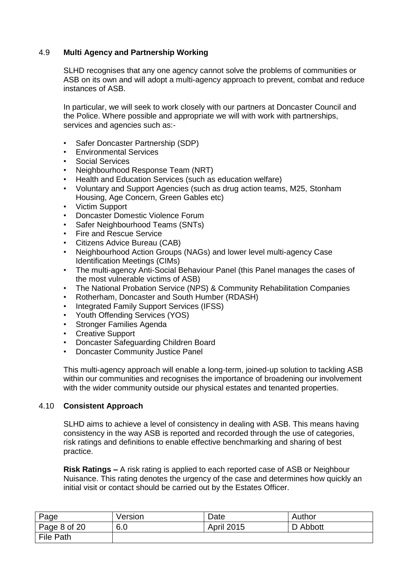# 4.9 **Multi Agency and Partnership Working**

SLHD recognises that any one agency cannot solve the problems of communities or ASB on its own and will adopt a multi-agency approach to prevent, combat and reduce instances of ASB.

In particular, we will seek to work closely with our partners at Doncaster Council and the Police. Where possible and appropriate we will with work with partnerships, services and agencies such as:-

- Safer Doncaster Partnership (SDP)
- Environmental Services
- Social Services
- Neighbourhood Response Team (NRT)
- Health and Education Services (such as education welfare)
- Voluntary and Support Agencies (such as drug action teams, M25, Stonham Housing, Age Concern, Green Gables etc)
- Victim Support
- Doncaster Domestic Violence Forum
- Safer Neighbourhood Teams (SNTs)
- Fire and Rescue Service
- Citizens Advice Bureau (CAB)
- Neighbourhood Action Groups (NAGs) and lower level multi-agency Case Identification Meetings (CIMs)
- The multi-agency Anti-Social Behaviour Panel (this Panel manages the cases of the most vulnerable victims of ASB)
- The National Probation Service (NPS) & Community Rehabilitation Companies
- Rotherham, Doncaster and South Humber (RDASH)
- Integrated Family Support Services (IFSS)
- Youth Offending Services (YOS)
- Stronger Families Agenda
- Creative Support
- Doncaster Safeguarding Children Board
- Doncaster Community Justice Panel

This multi-agency approach will enable a long-term, joined-up solution to tackling ASB within our communities and recognises the importance of broadening our involvement with the wider community outside our physical estates and tenanted properties.

# 4.10 **Consistent Approach**

SLHD aims to achieve a level of consistency in dealing with ASB. This means having consistency in the way ASB is reported and recorded through the use of categories, risk ratings and definitions to enable effective benchmarking and sharing of best practice.

**Risk Ratings –** A risk rating is applied to each reported case of ASB or Neighbour Nuisance. This rating denotes the urgency of the case and determines how quickly an initial visit or contact should be carried out by the Estates Officer.

| Page         | Version | Date              | Author   |
|--------------|---------|-------------------|----------|
| Page 8 of 20 | 6.0     | <b>April 2015</b> | D Abbott |
| File Path    |         |                   |          |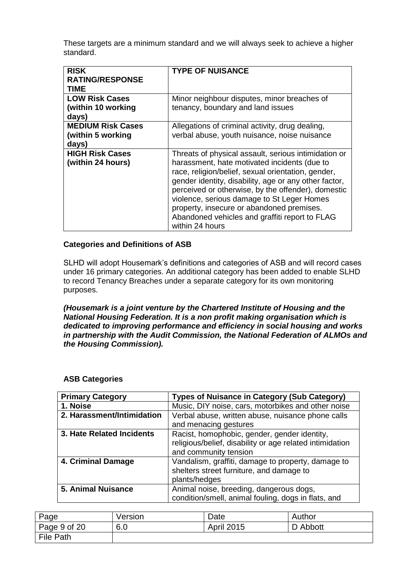These targets are a minimum standard and we will always seek to achieve a higher standard.

| <b>RISK</b>              | <b>TYPE OF NUISANCE</b>                               |
|--------------------------|-------------------------------------------------------|
| <b>RATING/RESPONSE</b>   |                                                       |
|                          |                                                       |
| TIME                     |                                                       |
| <b>LOW Risk Cases</b>    | Minor neighbour disputes, minor breaches of           |
| (within 10 working       | tenancy, boundary and land issues                     |
| days)                    |                                                       |
| <b>MEDIUM Risk Cases</b> | Allegations of criminal activity, drug dealing,       |
| (within 5 working        | verbal abuse, youth nuisance, noise nuisance          |
| days)                    |                                                       |
| <b>HIGH Risk Cases</b>   | Threats of physical assault, serious intimidation or  |
| (within 24 hours)        | harassment, hate motivated incidents (due to          |
|                          | race, religion/belief, sexual orientation, gender,    |
|                          | gender identity, disability, age or any other factor, |
|                          |                                                       |
|                          | perceived or otherwise, by the offender), domestic    |
|                          | violence, serious damage to St Leger Homes            |
|                          | property, insecure or abandoned premises.             |
|                          | Abandoned vehicles and graffiti report to FLAG        |
|                          |                                                       |
|                          | within 24 hours                                       |

#### **Categories and Definitions of ASB**

SLHD will adopt Housemark"s definitions and categories of ASB and will record cases under 16 primary categories. An additional category has been added to enable SLHD to record Tenancy Breaches under a separate category for its own monitoring purposes.

*(Housemark is a joint venture by the Chartered Institute of Housing and the National Housing Federation. It is a non profit making organisation which is dedicated to improving performance and efficiency in social housing and works in partnership with the Audit Commission, the National Federation of ALMOs and the Housing Commission).*

| <b>Primary Category</b>    | <b>Types of Nuisance in Category (Sub Category)</b>      |  |  |
|----------------------------|----------------------------------------------------------|--|--|
| 1. Noise                   | Music, DIY noise, cars, motorbikes and other noise       |  |  |
| 2. Harassment/Intimidation | Verbal abuse, written abuse, nuisance phone calls        |  |  |
|                            | and menacing gestures                                    |  |  |
| 3. Hate Related Incidents  | Racist, homophobic, gender, gender identity,             |  |  |
|                            | religious/belief, disability or age related intimidation |  |  |
|                            | and community tension                                    |  |  |
| 4. Criminal Damage         | Vandalism, graffiti, damage to property, damage to       |  |  |
|                            | shelters street furniture, and damage to                 |  |  |
|                            | plants/hedges                                            |  |  |
| <b>5. Animal Nuisance</b>  | Animal noise, breeding, dangerous dogs,                  |  |  |
|                            | condition/smell, animal fouling, dogs in flats, and      |  |  |

#### **ASB Categories**

| Page             | Version | Date              | Author   |
|------------------|---------|-------------------|----------|
| Page 9 of 20     | 6.0     | <b>April 2015</b> | D Abbott |
| <b>File Path</b> |         |                   |          |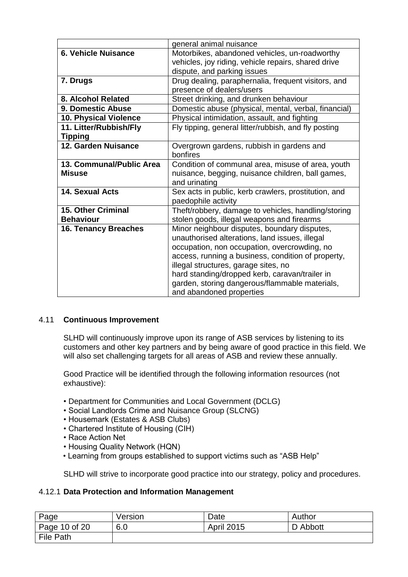|                             | general animal nuisance                              |
|-----------------------------|------------------------------------------------------|
| 6. Vehicle Nuisance         | Motorbikes, abandoned vehicles, un-roadworthy        |
|                             | vehicles, joy riding, vehicle repairs, shared drive  |
|                             | dispute, and parking issues                          |
| 7. Drugs                    | Drug dealing, paraphernalia, frequent visitors, and  |
|                             | presence of dealers/users                            |
| 8. Alcohol Related          | Street drinking, and drunken behaviour               |
| <b>9. Domestic Abuse</b>    | Domestic abuse (physical, mental, verbal, financial) |
| 10. Physical Violence       | Physical intimidation, assault, and fighting         |
| 11. Litter/Rubbish/Fly      | Fly tipping, general litter/rubbish, and fly posting |
| <b>Tipping</b>              |                                                      |
| 12. Garden Nuisance         | Overgrown gardens, rubbish in gardens and            |
|                             | bonfires                                             |
| 13. Communal/Public Area    | Condition of communal area, misuse of area, youth    |
| <b>Misuse</b>               | nuisance, begging, nuisance children, ball games,    |
|                             | and urinating                                        |
| 14. Sexual Acts             | Sex acts in public, kerb crawlers, prostitution, and |
|                             | paedophile activity                                  |
| <b>15. Other Criminal</b>   | Theft/robbery, damage to vehicles, handling/storing  |
| <b>Behaviour</b>            | stolen goods, illegal weapons and firearms           |
| <b>16. Tenancy Breaches</b> | Minor neighbour disputes, boundary disputes,         |
|                             | unauthorised alterations, land issues, illegal       |
|                             | occupation, non occupation, overcrowding, no         |
|                             | access, running a business, condition of property,   |
|                             | illegal structures, garage sites, no                 |
|                             | hard standing/dropped kerb, caravan/trailer in       |
|                             | garden, storing dangerous/flammable materials,       |
|                             | and abandoned properties                             |

# 4.11 **Continuous Improvement**

SLHD will continuously improve upon its range of ASB services by listening to its customers and other key partners and by being aware of good practice in this field. We will also set challenging targets for all areas of ASB and review these annually.

Good Practice will be identified through the following information resources (not exhaustive):

- Department for Communities and Local Government (DCLG)
- Social Landlords Crime and Nuisance Group (SLCNG)
- Housemark (Estates & ASB Clubs)
- Chartered Institute of Housing (CIH)
- Race Action Net
- Housing Quality Network (HQN)
- Learning from groups established to support victims such as "ASB Help"

SLHD will strive to incorporate good practice into our strategy, policy and procedures.

# 4.12.1 **Data Protection and Information Management**

| Page             | Version | Date              | Author   |
|------------------|---------|-------------------|----------|
| Page 10 of 20    | 6.0     | <b>April 2015</b> | D Abbott |
| <b>File Path</b> |         |                   |          |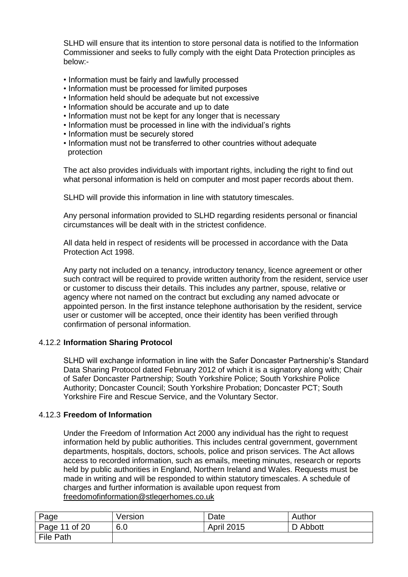SLHD will ensure that its intention to store personal data is notified to the Information Commissioner and seeks to fully comply with the eight Data Protection principles as below:-

- Information must be fairly and lawfully processed
- Information must be processed for limited purposes
- Information held should be adequate but not excessive
- Information should be accurate and up to date
- Information must not be kept for any longer that is necessary
- Information must be processed in line with the individual's rights
- Information must be securely stored
- Information must not be transferred to other countries without adequate protection

The act also provides individuals with important rights, including the right to find out what personal information is held on computer and most paper records about them.

SLHD will provide this information in line with statutory timescales.

Any personal information provided to SLHD regarding residents personal or financial circumstances will be dealt with in the strictest confidence.

All data held in respect of residents will be processed in accordance with the Data Protection Act 1998.

Any party not included on a tenancy, introductory tenancy, licence agreement or other such contract will be required to provide written authority from the resident, service user or customer to discuss their details. This includes any partner, spouse, relative or agency where not named on the contract but excluding any named advocate or appointed person. In the first instance telephone authorisation by the resident, service user or customer will be accepted, once their identity has been verified through confirmation of personal information.

# 4.12.2 **Information Sharing Protocol**

SLHD will exchange information in line with the Safer Doncaster Partnership"s Standard Data Sharing Protocol dated February 2012 of which it is a signatory along with; Chair of Safer Doncaster Partnership; South Yorkshire Police; South Yorkshire Police Authority; Doncaster Council; South Yorkshire Probation; Doncaster PCT; South Yorkshire Fire and Rescue Service, and the Voluntary Sector.

#### 4.12.3 **Freedom of Information**

Under the Freedom of Information Act 2000 any individual has the right to request information held by public authorities. This includes central government, government departments, hospitals, doctors, schools, police and prison services. The Act allows access to recorded information, such as emails, meeting minutes, research or reports held by public authorities in England, Northern Ireland and Wales. Requests must be made in writing and will be responded to within statutory timescales. A schedule of charges and further information is available upon request from [freedomofinformation@stlegerhomes.co.uk](mailto:freedomofinformation@stlegerhomes.co.uk)

| Page          | Version | Date              | Author   |
|---------------|---------|-------------------|----------|
| Page 11 of 20 | 6.0     | <b>April 2015</b> | D Abbott |
| File Path     |         |                   |          |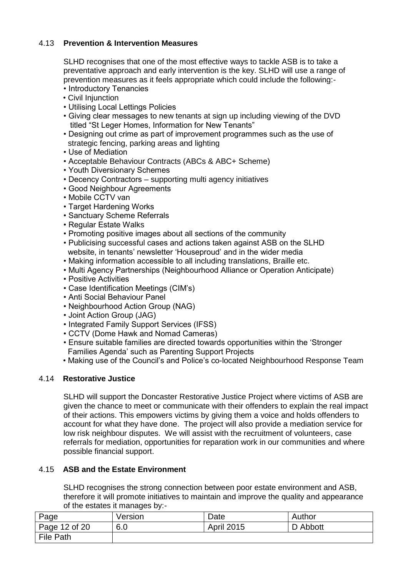# 4.13 **Prevention & Intervention Measures**

SLHD recognises that one of the most effective ways to tackle ASB is to take a preventative approach and early intervention is the key. SLHD will use a range of prevention measures as it feels appropriate which could include the following:-

- Introductory Tenancies
- Civil Injunction
- Utilising Local Lettings Policies
- Giving clear messages to new tenants at sign up including viewing of the DVD titled "St Leger Homes, Information for New Tenants"
- Designing out crime as part of improvement programmes such as the use of strategic fencing, parking areas and lighting
- Use of Mediation
- Acceptable Behaviour Contracts (ABCs & ABC+ Scheme)
- Youth Diversionary Schemes
- Decency Contractors supporting multi agency initiatives
- Good Neighbour Agreements
- Mobile CCTV van
- Target Hardening Works
- Sanctuary Scheme Referrals
- Regular Estate Walks
- Promoting positive images about all sections of the community
- Publicising successful cases and actions taken against ASB on the SLHD website, in tenants' newsletter 'Houseproud' and in the wider media
- Making information accessible to all including translations, Braille etc.
- Multi Agency Partnerships (Neighbourhood Alliance or Operation Anticipate)
- Positive Activities
- Case Identification Meetings (CIM"s)
- Anti Social Behaviour Panel
- Neighbourhood Action Group (NAG)
- Joint Action Group (JAG)
- Integrated Family Support Services (IFSS)
- CCTV (Dome Hawk and Nomad Cameras)
- Ensure suitable families are directed towards opportunities within the "Stronger Families Agenda" such as Parenting Support Projects
- Making use of the Council"s and Police"s co-located Neighbourhood Response Team

#### 4.14 **Restorative Justice**

SLHD will support the Doncaster Restorative Justice Project where victims of ASB are given the chance to meet or communicate with their offenders to explain the real impact of their actions. This empowers victims by giving them a voice and holds offenders to account for what they have done. The project will also provide a mediation service for low risk neighbour disputes. We will assist with the recruitment of volunteers, case referrals for mediation, opportunities for reparation work in our communities and where possible financial support.

# 4.15 **ASB and the Estate Environment**

SLHD recognises the strong connection between poor estate environment and ASB, therefore it will promote initiatives to maintain and improve the quality and appearance of the estates it manages by:-

| Page             | Version | Date              | Author   |
|------------------|---------|-------------------|----------|
| Page 12 of 20    | 6.0     | <b>April 2015</b> | D Abbott |
| <b>File Path</b> |         |                   |          |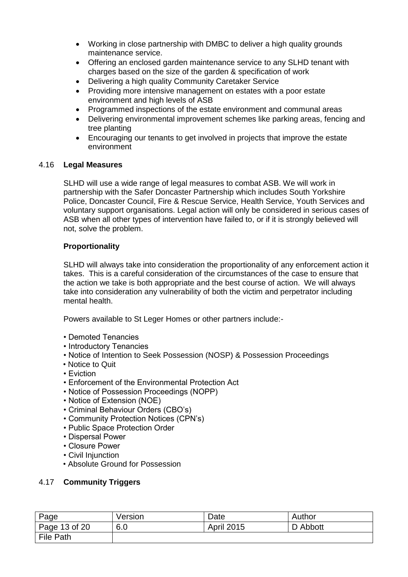- Working in close partnership with DMBC to deliver a high quality grounds maintenance service.
- Offering an enclosed garden maintenance service to any SLHD tenant with charges based on the size of the garden & specification of work
- Delivering a high quality Community Caretaker Service
- Providing more intensive management on estates with a poor estate environment and high levels of ASB
- Programmed inspections of the estate environment and communal areas
- Delivering environmental improvement schemes like parking areas, fencing and tree planting
- Encouraging our tenants to get involved in projects that improve the estate environment

# 4.16 **Legal Measures**

SLHD will use a wide range of legal measures to combat ASB. We will work in partnership with the Safer Doncaster Partnership which includes South Yorkshire Police, Doncaster Council, Fire & Rescue Service, Health Service, Youth Services and voluntary support organisations. Legal action will only be considered in serious cases of ASB when all other types of intervention have failed to, or if it is strongly believed will not, solve the problem.

# **Proportionality**

SLHD will always take into consideration the proportionality of any enforcement action it takes. This is a careful consideration of the circumstances of the case to ensure that the action we take is both appropriate and the best course of action. We will always take into consideration any vulnerability of both the victim and perpetrator including mental health.

Powers available to St Leger Homes or other partners include:-

- Demoted Tenancies
- Introductory Tenancies
- Notice of Intention to Seek Possession (NOSP) & Possession Proceedings
- Notice to Quit
- Eviction
- Enforcement of the Environmental Protection Act
- Notice of Possession Proceedings (NOPP)
- Notice of Extension (NOE)
- Criminal Behaviour Orders (CBO"s)
- Community Protection Notices (CPN"s)
- Public Space Protection Order
- Dispersal Power
- Closure Power
- Civil Injunction
- Absolute Ground for Possession

# 4.17 **Community Triggers**

| Page          | Version | Date              | Author   |
|---------------|---------|-------------------|----------|
| Page 13 of 20 | 6.0     | <b>April 2015</b> | D Abbott |
| File Path     |         |                   |          |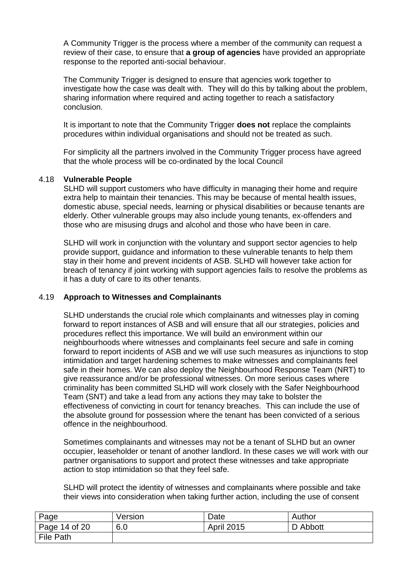A Community Trigger is the process where a member of the community can request a review of their case, to ensure that **a group of agencies** have provided an appropriate response to the reported anti-social behaviour.

The Community Trigger is designed to ensure that agencies work together to investigate how the case was dealt with. They will do this by talking about the problem, sharing information where required and acting together to reach a satisfactory conclusion.

It is important to note that the Community Trigger **does not** replace the complaints procedures within individual organisations and should not be treated as such.

For simplicity all the partners involved in the Community Trigger process have agreed that the whole process will be co-ordinated by the local Council

#### 4.18 **Vulnerable People**

SLHD will support customers who have difficulty in managing their home and require extra help to maintain their tenancies. This may be because of mental health issues, domestic abuse, special needs, learning or physical disabilities or because tenants are elderly. Other vulnerable groups may also include young tenants, ex-offenders and those who are misusing drugs and alcohol and those who have been in care.

SLHD will work in conjunction with the voluntary and support sector agencies to help provide support, guidance and information to these vulnerable tenants to help them stay in their home and prevent incidents of ASB. SLHD will however take action for breach of tenancy if joint working with support agencies fails to resolve the problems as it has a duty of care to its other tenants.

#### 4.19 **Approach to Witnesses and Complainants**

SLHD understands the crucial role which complainants and witnesses play in coming forward to report instances of ASB and will ensure that all our strategies, policies and procedures reflect this importance. We will build an environment within our neighbourhoods where witnesses and complainants feel secure and safe in coming forward to report incidents of ASB and we will use such measures as injunctions to stop intimidation and target hardening schemes to make witnesses and complainants feel safe in their homes. We can also deploy the Neighbourhood Response Team (NRT) to give reassurance and/or be professional witnesses. On more serious cases where criminality has been committed SLHD will work closely with the Safer Neighbourhood Team (SNT) and take a lead from any actions they may take to bolster the effectiveness of convicting in court for tenancy breaches. This can include the use of the absolute ground for possession where the tenant has been convicted of a serious offence in the neighbourhood.

Sometimes complainants and witnesses may not be a tenant of SLHD but an owner occupier, leaseholder or tenant of another landlord. In these cases we will work with our partner organisations to support and protect these witnesses and take appropriate action to stop intimidation so that they feel safe.

SLHD will protect the identity of witnesses and complainants where possible and take their views into consideration when taking further action, including the use of consent

| Page          | Version | Date              | Author   |
|---------------|---------|-------------------|----------|
| Page 14 of 20 | 6.0     | <b>April 2015</b> | D Abbott |
| File Path     |         |                   |          |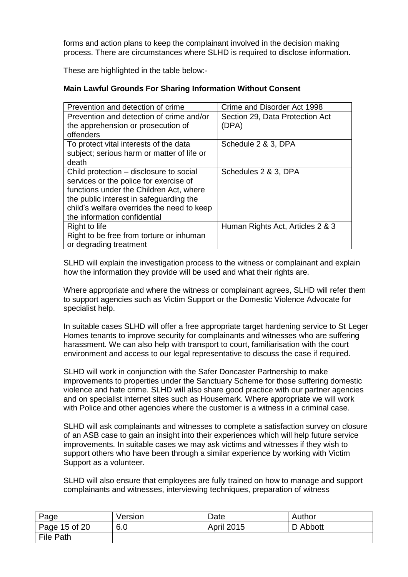forms and action plans to keep the complainant involved in the decision making process. There are circumstances where SLHD is required to disclose information.

These are highlighted in the table below:-

# **Main Lawful Grounds For Sharing Information Without Consent**

| Crime and Disorder Act 1998      |
|----------------------------------|
| Section 29, Data Protection Act  |
| (DPA)                            |
|                                  |
| Schedule 2 & 3, DPA              |
|                                  |
|                                  |
| Schedules 2 & 3, DPA             |
|                                  |
|                                  |
|                                  |
|                                  |
|                                  |
| Human Rights Act, Articles 2 & 3 |
|                                  |
|                                  |
|                                  |

SLHD will explain the investigation process to the witness or complainant and explain how the information they provide will be used and what their rights are.

Where appropriate and where the witness or complainant agrees, SLHD will refer them to support agencies such as Victim Support or the Domestic Violence Advocate for specialist help.

In suitable cases SLHD will offer a free appropriate target hardening service to St Leger Homes tenants to improve security for complainants and witnesses who are suffering harassment. We can also help with transport to court, familiarisation with the court environment and access to our legal representative to discuss the case if required.

SLHD will work in conjunction with the Safer Doncaster Partnership to make improvements to properties under the Sanctuary Scheme for those suffering domestic violence and hate crime. SLHD will also share good practice with our partner agencies and on specialist internet sites such as Housemark. Where appropriate we will work with Police and other agencies where the customer is a witness in a criminal case.

SLHD will ask complainants and witnesses to complete a satisfaction survey on closure of an ASB case to gain an insight into their experiences which will help future service improvements. In suitable cases we may ask victims and witnesses if they wish to support others who have been through a similar experience by working with Victim Support as a volunteer.

SLHD will also ensure that employees are fully trained on how to manage and support complainants and witnesses, interviewing techniques, preparation of witness

| Page             | Version | Date              | Author   |
|------------------|---------|-------------------|----------|
| Page 15 of 20    | 6.0     | <b>April 2015</b> | D Abbott |
| <b>File Path</b> |         |                   |          |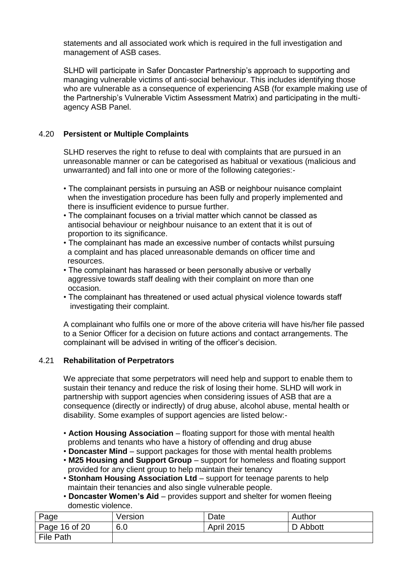statements and all associated work which is required in the full investigation and management of ASB cases.

SLHD will participate in Safer Doncaster Partnership"s approach to supporting and managing vulnerable victims of anti-social behaviour. This includes identifying those who are vulnerable as a consequence of experiencing ASB (for example making use of the Partnership"s Vulnerable Victim Assessment Matrix) and participating in the multiagency ASB Panel.

# 4.20 **Persistent or Multiple Complaints**

SLHD reserves the right to refuse to deal with complaints that are pursued in an unreasonable manner or can be categorised as habitual or vexatious (malicious and unwarranted) and fall into one or more of the following categories:-

- The complainant persists in pursuing an ASB or neighbour nuisance complaint when the investigation procedure has been fully and properly implemented and there is insufficient evidence to pursue further.
- The complainant focuses on a trivial matter which cannot be classed as antisocial behaviour or neighbour nuisance to an extent that it is out of proportion to its significance.
- The complainant has made an excessive number of contacts whilst pursuing a complaint and has placed unreasonable demands on officer time and resources.
- The complainant has harassed or been personally abusive or verbally aggressive towards staff dealing with their complaint on more than one occasion.
- The complainant has threatened or used actual physical violence towards staff investigating their complaint.

A complainant who fulfils one or more of the above criteria will have his/her file passed to a Senior Officer for a decision on future actions and contact arrangements. The complainant will be advised in writing of the officer"s decision.

# 4.21 **Rehabilitation of Perpetrators**

We appreciate that some perpetrators will need help and support to enable them to sustain their tenancy and reduce the risk of losing their home. SLHD will work in partnership with support agencies when considering issues of ASB that are a consequence (directly or indirectly) of drug abuse, alcohol abuse, mental health or disability. Some examples of support agencies are listed below:-

- **Action Housing Association**  floating support for those with mental health problems and tenants who have a history of offending and drug abuse
- **Doncaster Mind**  support packages for those with mental health problems
- **M25 Housing and Support Group**  support for homeless and floating support provided for any client group to help maintain their tenancy
- **Stonham Housing Association Ltd**  support for teenage parents to help maintain their tenancies and also single vulnerable people.
- **Doncaster Women's Aid**  provides support and shelter for women fleeing domestic violence.

| Page          | Version | Date              | Author   |
|---------------|---------|-------------------|----------|
| Page 16 of 20 | 6.0     | <b>April 2015</b> | D Abbott |
| File Path     |         |                   |          |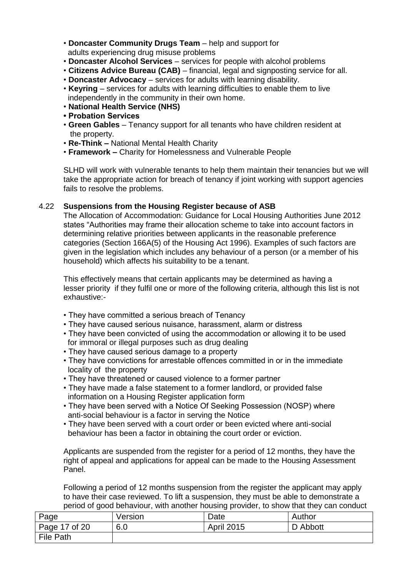- **Doncaster Community Drugs Team**  help and support for adults experiencing drug misuse problems
- **Doncaster Alcohol Services**  services for people with alcohol problems
- **Citizens Advice Bureau (CAB)**  financial, legal and signposting service for all.
- **Doncaster Advocacy**  services for adults with learning disability.
- **Keyring**  services for adults with learning difficulties to enable them to live independently in the community in their own home.
- **National Health Service (NHS)**
- **Probation Services**
- **Green Gables** Tenancy support for all tenants who have children resident at the property.
- **Re-Think –** National Mental Health Charity
- **Framework –** Charity for Homelessness and Vulnerable People

SLHD will work with vulnerable tenants to help them maintain their tenancies but we will take the appropriate action for breach of tenancy if joint working with support agencies fails to resolve the problems.

# 4.22 **Suspensions from the Housing Register because of ASB**

The Allocation of Accommodation: Guidance for Local Housing Authorities June 2012 states "Authorities may frame their allocation scheme to take into account factors in determining relative priorities between applicants in the reasonable preference categories (Section 166A(5) of the Housing Act 1996). Examples of such factors are given in the legislation which includes any behaviour of a person (or a member of his household) which affects his suitability to be a tenant.

This effectively means that certain applicants may be determined as having a lesser priority if they fulfil one or more of the following criteria, although this list is not exhaustive:-

- They have committed a serious breach of Tenancy
- They have caused serious nuisance, harassment, alarm or distress
- They have been convicted of using the accommodation or allowing it to be used for immoral or illegal purposes such as drug dealing
- They have caused serious damage to a property
- They have convictions for arrestable offences committed in or in the immediate locality of the property
- They have threatened or caused violence to a former partner
- They have made a false statement to a former landlord, or provided false information on a Housing Register application form
- They have been served with a Notice Of Seeking Possession (NOSP) where anti-social behaviour is a factor in serving the Notice
- They have been served with a court order or been evicted where anti-social behaviour has been a factor in obtaining the court order or eviction.

Applicants are suspended from the register for a period of 12 months, they have the right of appeal and applications for appeal can be made to the Housing Assessment Panel.

Following a period of 12 months suspension from the register the applicant may apply to have their case reviewed. To lift a suspension, they must be able to demonstrate a period of good behaviour, with another housing provider, to show that they can conduct

| Page             | Version | Date              | Author   |
|------------------|---------|-------------------|----------|
| Page 17 of 20    | 6.0     | <b>April 2015</b> | D Abbott |
| <b>File Path</b> |         |                   |          |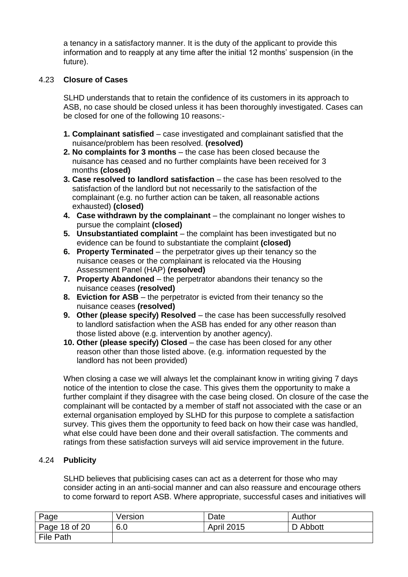a tenancy in a satisfactory manner. It is the duty of the applicant to provide this information and to reapply at any time after the initial 12 months' suspension (in the future).

# 4.23 **Closure of Cases**

SLHD understands that to retain the confidence of its customers in its approach to ASB, no case should be closed unless it has been thoroughly investigated. Cases can be closed for one of the following 10 reasons:-

- **1. Complainant satisfied** case investigated and complainant satisfied that the nuisance/problem has been resolved. **(resolved)**
- **2. No complaints for 3 months**  the case has been closed because the nuisance has ceased and no further complaints have been received for 3 months **(closed)**
- **3. Case resolved to landlord satisfaction** the case has been resolved to the satisfaction of the landlord but not necessarily to the satisfaction of the complainant (e.g. no further action can be taken, all reasonable actions exhausted) **(closed)**
- **4. Case withdrawn by the complainant**  the complainant no longer wishes to pursue the complaint **(closed)**
- **5. Unsubstantiated complaint** the complaint has been investigated but no evidence can be found to substantiate the complaint **(closed)**
- **6. Property Terminated**  the perpetrator gives up their tenancy so the nuisance ceases or the complainant is relocated via the Housing Assessment Panel (HAP) **(resolved)**
- **7. Property Abandoned**  the perpetrator abandons their tenancy so the nuisance ceases **(resolved)**
- **8. Eviction for ASB**  the perpetrator is evicted from their tenancy so the nuisance ceases **(resolved)**
- **9. Other (please specify) Resolved the case has been successfully resolved**  to landlord satisfaction when the ASB has ended for any other reason than those listed above (e.g. intervention by another agency).
- **10. Other (please specify) Closed**  the case has been closed for any other reason other than those listed above. (e.g. information requested by the landlord has not been provided)

When closing a case we will always let the complainant know in writing giving 7 days notice of the intention to close the case. This gives them the opportunity to make a further complaint if they disagree with the case being closed. On closure of the case the complainant will be contacted by a member of staff not associated with the case or an external organisation employed by SLHD for this purpose to complete a satisfaction survey. This gives them the opportunity to feed back on how their case was handled, what else could have been done and their overall satisfaction. The comments and ratings from these satisfaction surveys will aid service improvement in the future.

#### 4.24 **Publicity**

SLHD believes that publicising cases can act as a deterrent for those who may consider acting in an anti-social manner and can also reassure and encourage others to come forward to report ASB. Where appropriate, successful cases and initiatives will

| Page             | Version | Date              | Author   |
|------------------|---------|-------------------|----------|
| Page 18 of $20$  | 6.0     | <b>April 2015</b> | D Abbott |
| <b>File Path</b> |         |                   |          |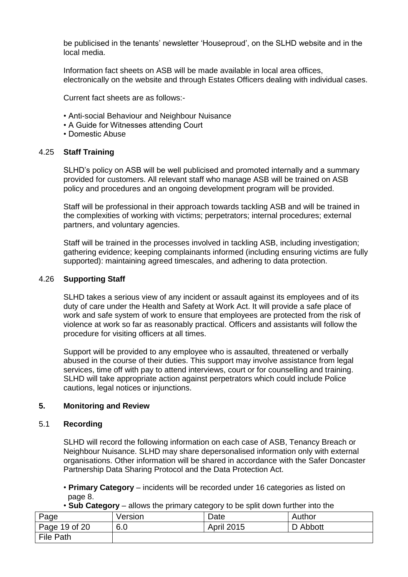be publicised in the tenants" newsletter "Houseproud", on the SLHD website and in the local media.

Information fact sheets on ASB will be made available in local area offices, electronically on the website and through Estates Officers dealing with individual cases.

Current fact sheets are as follows:-

- Anti-social Behaviour and Neighbour Nuisance
- A Guide for Witnesses attending Court
- Domestic Abuse

#### 4.25 **Staff Training**

SLHD"s policy on ASB will be well publicised and promoted internally and a summary provided for customers. All relevant staff who manage ASB will be trained on ASB policy and procedures and an ongoing development program will be provided.

Staff will be professional in their approach towards tackling ASB and will be trained in the complexities of working with victims; perpetrators; internal procedures; external partners, and voluntary agencies.

Staff will be trained in the processes involved in tackling ASB, including investigation; gathering evidence; keeping complainants informed (including ensuring victims are fully supported): maintaining agreed timescales, and adhering to data protection.

#### 4.26 **Supporting Staff**

SLHD takes a serious view of any incident or assault against its employees and of its duty of care under the Health and Safety at Work Act. It will provide a safe place of work and safe system of work to ensure that employees are protected from the risk of violence at work so far as reasonably practical. Officers and assistants will follow the procedure for visiting officers at all times.

Support will be provided to any employee who is assaulted, threatened or verbally abused in the course of their duties. This support may involve assistance from legal services, time off with pay to attend interviews, court or for counselling and training. SLHD will take appropriate action against perpetrators which could include Police cautions, legal notices or injunctions.

#### **5. Monitoring and Review**

#### 5.1 **Recording**

SLHD will record the following information on each case of ASB, Tenancy Breach or Neighbour Nuisance. SLHD may share depersonalised information only with external organisations. Other information will be shared in accordance with the Safer Doncaster Partnership Data Sharing Protocol and the Data Protection Act.

- **Primary Category**  incidents will be recorded under 16 categories as listed on page 8.
- **Sub Category**  allows the primary category to be split down further into the

| Page                  | Version | Date              | Author   |
|-----------------------|---------|-------------------|----------|
| $\vert$ Page 19 of 20 | 6.0     | <b>April 2015</b> | D Abbott |
| File Path             |         |                   |          |